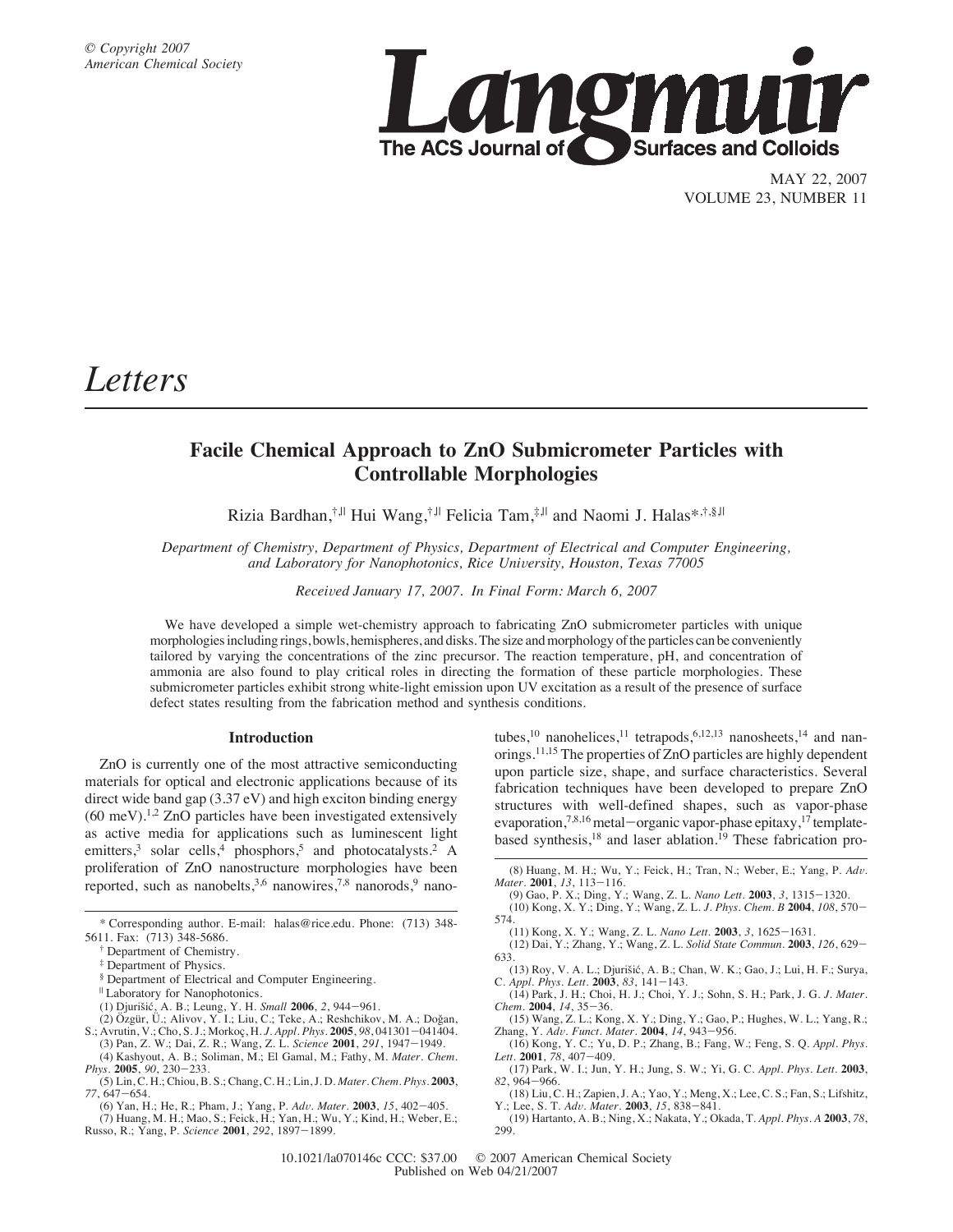

MAY 22, 2007 VOLUME 23, NUMBER 11

# *Letters*

## **Facile Chemical Approach to ZnO Submicrometer Particles with Controllable Morphologies**

Rizia Bardhan,<sup>†,||</sup> Hui Wang,<sup>†,||</sup> Felicia Tam,<sup>‡,||</sup> and Naomi J. Halas\*,†,§,||

*Department of Chemistry, Department of Physics, Department of Electrical and Computer Engineering,* and Laboratory for Nanophotonics, Rice University, Houston, Texas 77005

*Recei*V*ed January 17, 2007. In Final Form: March 6, 2007*

We have developed a simple wet-chemistry approach to fabricating ZnO submicrometer particles with unique morphologies including rings, bowls, hemispheres, and disks. The size and morphology of the particles can be conveniently tailored by varying the concentrations of the zinc precursor. The reaction temperature, pH, and concentration of ammonia are also found to play critical roles in directing the formation of these particle morphologies. These submicrometer particles exhibit strong white-light emission upon UV excitation as a result of the presence of surface defect states resulting from the fabrication method and synthesis conditions.

#### **Introduction**

ZnO is currently one of the most attractive semiconducting materials for optical and electronic applications because of its direct wide band gap (3.37 eV) and high exciton binding energy  $(60 \text{ meV})$ .<sup>1,2</sup> ZnO particles have been investigated extensively as active media for applications such as luminescent light emitters,<sup>3</sup> solar cells,<sup>4</sup> phosphors,<sup>5</sup> and photocatalysts.<sup>2</sup> A proliferation of ZnO nanostructure morphologies have been reported, such as nanobelts,  $3,6$  nanowires,  $7,8$  nanorods,  $9$  nano-

- <sup>|</sup> Laboratory for Nanophotonics.
- (1) Djurisˇic´, A. B.; Leung, Y. H. *Small* **2006**, *2*, 944-961.
- $(2)$  Özgür, Ü.; Alivov, Y. I.; Liu, C.; Teke, A.; Reshchikov, M. A.; Doğan,
- S.; Avrutin, V.; Cho, S. J.; Morkoc¸, H. *J. Appl. Phys.* **2005**, *98*, 041301-041404. (3) Pan, Z. W.; Dai, Z. R.; Wang, Z. L. *Science* **2001**, *291*, 1947-1949.
- (4) Kashyout, A. B.; Soliman, M.; El Gamal, M.; Fathy, M. *Mater. Chem. Phys.* **2005**, *90*, 230-233. (5) Lin, C. H.; Chiou, B. S.; Chang, C. H.; Lin, J. D. *Mater. Chem. Phys.* **2003**,
- *77*, 647-654.
- (6) Yan, H.; He, R.; Pham, J.; Yang, P. *Ad*V*. Mater.* **2003**, *15*, 402-405. (7) Huang, M. H.; Mao, S.; Feick, H.; Yan, H.; Wu, Y.; Kind, H.; Weber, E.;
- Russo, R.; Yang, P. *Science* **2001**, *292*, 1897-1899.

tubes,<sup>10</sup> nanohelices,<sup>11</sup> tetrapods,<sup>6,12,13</sup> nanosheets,<sup>14</sup> and nanorings.11,15 The properties of ZnO particles are highly dependent upon particle size, shape, and surface characteristics. Several fabrication techniques have been developed to prepare ZnO structures with well-defined shapes, such as vapor-phase evaporation,<sup>7,8,16</sup> metal-organic vapor-phase epitaxy,<sup>17</sup> templatebased synthesis,<sup>18</sup> and laser ablation.<sup>19</sup> These fabrication pro-

- (9) Gao, P. X.; Ding, Y.; Wang, Z. L. *Nano Lett.* **2003**, *3*, 1315-1320. (10) Kong, X. Y.; Ding, Y.; Wang, Z. L. *J. Phys. Chem. B* **2004**, *108*, 570-
- 574. (11) Kong, X. Y.; Wang, Z. L. *Nano Lett.* **2003**, *3*, 1625-1631.
- (12) Dai, Y.; Zhang, Y.; Wang, Z. L. *Solid State Commun.* **2003**, *126*, 629- 633.
- (13) Roy, V. A. L.; Djurišić, A. B.; Chan, W. K.; Gao, J.; Lui, H. F.; Surya, C. *Appl. Phys. Lett.* **2003**, *83*, 141-143.
- (14) Park, J. H.; Choi, H. J.; Choi, Y. J.; Sohn, S. H.; Park, J. G. *J. Mater. Chem.* **2004**, *14*, 35-36.
- (15) Wang, Z. L.; Kong, X. Y.; Ding, Y.; Gao, P.; Hughes, W. L.; Yang, R.; Zhang, Y. *Ad*V*. Funct. Mater.* **2004**, *14*, 943-956.
- (16) Kong, Y. C.; Yu, D. P.; Zhang, B.; Fang, W.; Feng, S. Q. *Appl. Phys. Lett.* **2001**, *78*, 407-409.
- (17) Park, W. I.; Jun, Y. H.; Jung, S. W.; Yi, G. C. *Appl. Phys. Lett.* **2003**, *82*, 964-966.
- (18) Liu, C. H.; Zapien, J. A.; Yao, Y.; Meng, X.; Lee, C. S.; Fan, S.; Lifshitz, Y.; Lee, S. T. *Ad*V*. Mater.* **2003**, *15*, 838-841.
- (19) Hartanto, A. B.; Ning, X.; Nakata, Y.; Okada, T. *Appl. Phys. A* **2003**, *78*, 299.

<sup>\*</sup> Corresponding author. E-mail: halas@rice.edu. Phone: (713) 348- 5611. Fax: (713) 348-5686.

<sup>†</sup> Department of Chemistry.

<sup>‡</sup> Department of Physics.

<sup>§</sup> Department of Electrical and Computer Engineering.

<sup>(8)</sup> Huang, M. H.; Wu, Y.; Feick, H.; Tran, N.; Weber, E.; Yang, P. *Ad*V*. Mater.* **2001**, *13*, 113-116.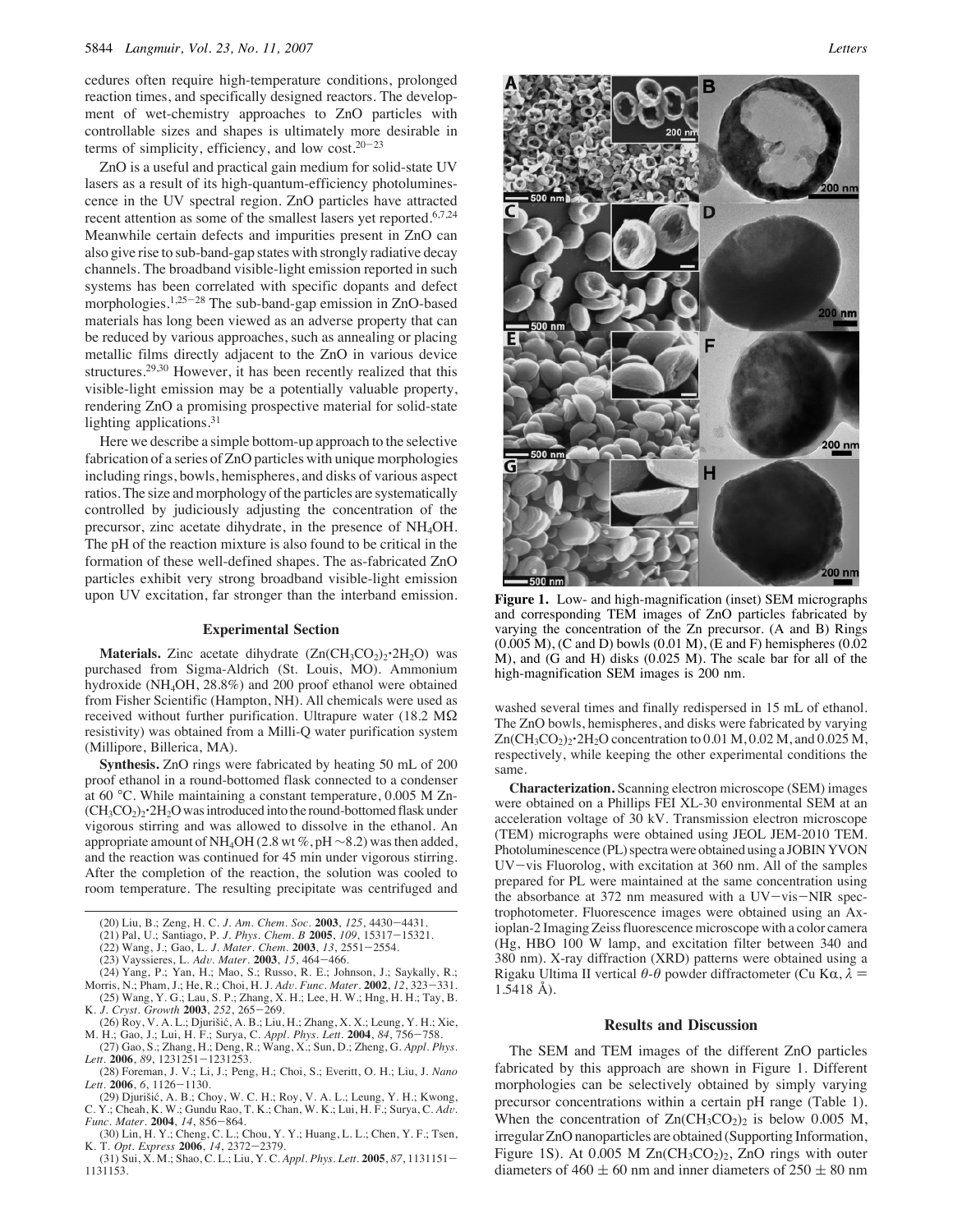cedures often require high-temperature conditions, prolonged reaction times, and specifically designed reactors. The development of wet-chemistry approaches to ZnO particles with controllable sizes and shapes is ultimately more desirable in terms of simplicity, efficiency, and low cost. $20-23$ 

ZnO is a useful and practical gain medium for solid-state UV lasers as a result of its high-quantum-efficiency photoluminescence in the UV spectral region. ZnO particles have attracted recent attention as some of the smallest lasers yet reported.<sup>6,7,24</sup> Meanwhile certain defects and impurities present in ZnO can also give rise to sub-band-gap states with strongly radiative decay channels. The broadband visible-light emission reported in such systems has been correlated with specific dopants and defect morphologies.1,25-<sup>28</sup> The sub-band-gap emission in ZnO-based materials has long been viewed as an adverse property that can be reduced by various approaches, such as annealing or placing metallic films directly adjacent to the ZnO in various device structures.29,30 However, it has been recently realized that this visible-light emission may be a potentially valuable property, rendering ZnO a promising prospective material for solid-state lighting applications.<sup>31</sup>

Here we describe a simple bottom-up approach to the selective fabrication of a series of ZnO particles with unique morphologies including rings, bowls, hemispheres, and disks of various aspect ratios. The size and morphology of the particles are systematically controlled by judiciously adjusting the concentration of the precursor, zinc acetate dihydrate, in the presence of NH4OH. The pH of the reaction mixture is also found to be critical in the formation of these well-defined shapes. The as-fabricated ZnO particles exhibit very strong broadband visible-light emission upon UV excitation, far stronger than the interband emission.

#### **Experimental Section**

**Materials.** Zinc acetate dihydrate  $(Zn(CH_3CO_2)_2 \cdot 2H_2O)$  was purchased from Sigma-Aldrich (St. Louis, MO). Ammonium hydroxide (NH4OH, 28.8%) and 200 proof ethanol were obtained from Fisher Scientific (Hampton, NH). All chemicals were used as received without further purification. Ultrapure water (18.2 MΩ resistivity) was obtained from a Milli-Q water purification system (Millipore, Billerica, MA).

**Synthesis.** ZnO rings were fabricated by heating 50 mL of 200 proof ethanol in a round-bottomed flask connected to a condenser at 60 °C. While maintaining a constant temperature, 0.005 M Zn-  $(CH_3CO_2)_2$ <sup>2</sup>H<sub>2</sub>O was introduced into the round-bottomed flask under vigorous stirring and was allowed to dissolve in the ethanol. An appropriate amount of NH4OH (2.8 wt %, pH ∼8.2) was then added, and the reaction was continued for 45 min under vigorous stirring. After the completion of the reaction, the solution was cooled to room temperature. The resulting precipitate was centrifuged and

- (24) Yang, P.; Yan, H.; Mao, S.; Russo, R. E.; Johnson, J.; Saykally, R.;
- Morris, N.; Pham, J.; He, R.; Choi, H. J. *Ad*V*. Func. Mater.* **2002**, *12*, 323-331. (25) Wang, Y. G.; Lau, S. P.; Zhang, X. H.; Lee, H. W.; Hng, H. H.; Tay, B.
- K. *J. Cryst. Growth* **2003**, *252*, 265-269.
- (26) Roy, V. A. L.; Djurišić, A. B.; Liu, H.; Zhang, X. X.; Leung, Y. H.; Xie, M. H.; Gao, J.; Lui, H. F.; Surya, C. *Appl. Phys. Lett.* **2004**, *84*, 756–758. (27) Gao, S.; Zhang, H.; Deng, R.; Wang, X.; Sun, D.; Zheng, G. *Appl. Phys.*
- *Lett.* **2006**, *89*, 1231251-1231253. (28) Foreman, J. V.; Li, J.; Peng, H.; Choi, S.; Everitt, O. H.; Liu, J. *Nano*
- *Lett.* **2006**, *6*, 1126-1130. (29) Djurišić, A. B.; Choy, W. C. H.; Roy, V. A. L.; Leung, Y. H.; Kwong,
- C. Y.; Cheah, K. W.; Gundu Rao, T. K.; Chan, W. K.; Lui, H. F.; Surya, C. *Ad*V*. Func. Mater.* **2004**, *14*, 856-864.
- (30) Lin, H. Y.; Cheng, C. L.; Chou, Y. Y.; Huang, L. L.; Chen, Y. F.; Tsen, K. T. *Opt. Express* **2006**, *14*, 2372-2379.
- (31) Sui, X. M.; Shao, C. L.; Liu, Y. C. *Appl. Phys. Lett.* **2005**, *87*, 1131151- 1131153.



**Figure 1.** Low- and high-magnification (inset) SEM micrographs and corresponding TEM images of ZnO particles fabricated by varying the concentration of the Zn precursor. (A and B) Rings  $(0.005 \text{ M})$ , (C and D) bowls  $(0.01 \text{ M})$ , (E and F) hemispheres  $(0.02 \text{ M})$ M), and (G and H) disks (0.025 M). The scale bar for all of the high-magnification SEM images is 200 nm.

washed several times and finally redispersed in 15 mL of ethanol. The ZnO bowls, hemispheres, and disks were fabricated by varying  $Zn(CH_3CO_2)$ <sup>2</sup>H<sub>2</sub>O concentration to 0.01 M, 0.02 M, and 0.025 M, respectively, while keeping the other experimental conditions the same.

**Characterization.** Scanning electron microscope (SEM) images were obtained on a Phillips FEI XL-30 environmental SEM at an acceleration voltage of 30 kV. Transmission electron microscope (TEM) micrographs were obtained using JEOL JEM-2010 TEM. Photoluminescence (PL) spectra were obtained using a JOBIN YVON UV-vis Fluorolog, with excitation at 360 nm. All of the samples prepared for PL were maintained at the same concentration using the absorbance at 372 nm measured with a UV-vis-NIR spectrophotometer. Fluorescence images were obtained using an Axioplan-2 Imaging Zeiss fluorescence microscope with a color camera (Hg, HBO 100 W lamp, and excitation filter between 340 and 380 nm). X-ray diffraction (XRD) patterns were obtained using a Rigaku Ultima II vertical  $\theta$ - $\theta$  powder diffractometer (Cu K $\alpha$ ,  $\lambda$  = 1.5418 Å).

#### **Results and Discussion**

The SEM and TEM images of the different ZnO particles fabricated by this approach are shown in Figure 1. Different morphologies can be selectively obtained by simply varying precursor concentrations within a certain pH range (Table 1). When the concentration of  $Zn(CH_3CO_2)_2$  is below 0.005 M, irregular ZnO nanoparticles are obtained (Supporting Information, Figure 1S). At 0.005 M  $Zn(CH_3CO_2)_2$ , ZnO rings with outer diameters of  $460 \pm 60$  nm and inner diameters of  $250 \pm 80$  nm

<sup>(20)</sup> Liu, B.; Zeng, H. C. *J. Am. Chem. Soc.* **2003**, *125*, 4430-4431.

<sup>(21)</sup> Pal, U.; Santiago, P. *J. Phys. Chem. B* **2005**, *109*, 15317-15321. (22) Wang, J.; Gao, L. *J. Mater. Chem.* **2003**, *13*, 2551-2554.

<sup>(23)</sup> Vayssieres, L. *Ad*V*. Mater.* **2003**, *15*, 464-466.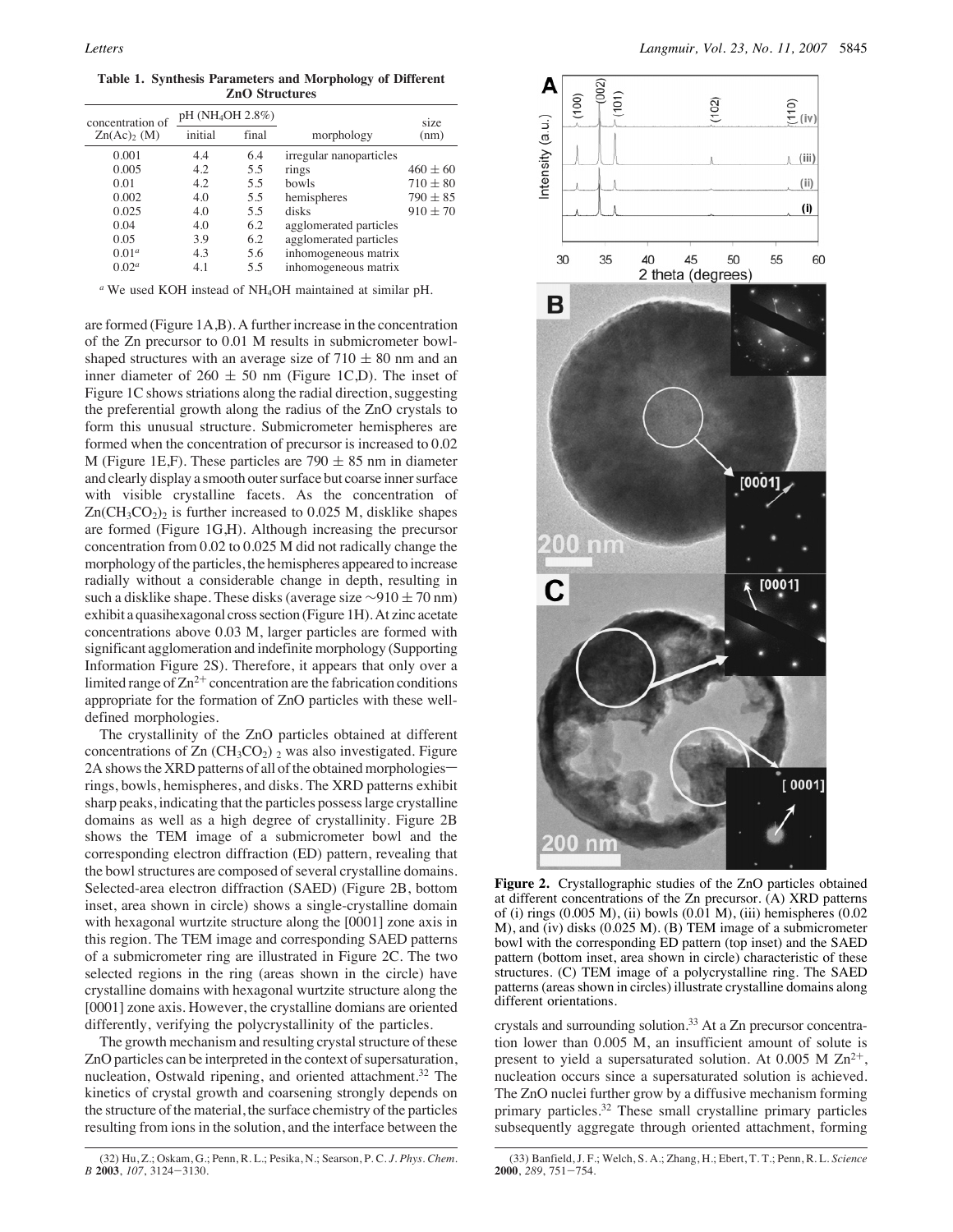**Table 1. Synthesis Parameters and Morphology of Different ZnO Structures**

| concentration of                   | pH (NH <sub>4</sub> OH 2.8%) |       |                         | size         |
|------------------------------------|------------------------------|-------|-------------------------|--------------|
| $\text{Zn}(\text{Ac})_2(\text{M})$ | initial                      | final | morphology              | (nm)         |
| 0.001                              | 4.4                          | 6.4   | irregular nanoparticles |              |
| 0.005                              | 4.2                          | 5.5   | rings                   | $460 \pm 60$ |
| 0.01                               | 4.2                          | 5.5   | bowls                   | $710 \pm 80$ |
| 0.002                              | 4.0                          | 5.5   | hemispheres             | $790 \pm 85$ |
| 0.025                              | 4.0                          | 5.5   | disks                   | $910 \pm 70$ |
| 0.04                               | 4.0                          | 6.2   | agglomerated particles  |              |
| 0.05                               | 3.9                          | 6.2   | agglomerated particles  |              |
| $0.01^a$                           | 4.3                          | 5.6   | inhomogeneous matrix    |              |
| 0.02 <sup>a</sup>                  | 4.1                          | 5.5   | inhomogeneous matrix    |              |

*<sup>a</sup>* We used KOH instead of NH4OH maintained at similar pH.

are formed (Figure 1A,B). A further increase in the concentration of the Zn precursor to 0.01 M results in submicrometer bowlshaped structures with an average size of  $710 \pm 80$  nm and an inner diameter of 260  $\pm$  50 nm (Figure 1C,D). The inset of Figure 1C shows striations along the radial direction, suggesting the preferential growth along the radius of the ZnO crystals to form this unusual structure. Submicrometer hemispheres are formed when the concentration of precursor is increased to 0.02 M (Figure 1E,F). These particles are  $790 \pm 85$  nm in diameter and clearly display a smooth outer surface but coarse inner surface with visible crystalline facets. As the concentration of  $Zn(CH_3CO_2)_2$  is further increased to 0.025 M, disklike shapes are formed (Figure 1G,H). Although increasing the precursor concentration from 0.02 to 0.025 M did not radically change the morphology of the particles, the hemispheres appeared to increase radially without a considerable change in depth, resulting in such a disklike shape. These disks (average size  $\sim$ 910 ± 70 nm) exhibit a quasihexagonal cross section (Figure 1H). At zinc acetate concentrations above 0.03 M, larger particles are formed with significant agglomeration and indefinite morphology (Supporting Information Figure 2S). Therefore, it appears that only over a limited range of  $Zn^{2+}$  concentration are the fabrication conditions appropriate for the formation of ZnO particles with these welldefined morphologies.

The crystallinity of the ZnO particles obtained at different concentrations of  $Zn$  (CH<sub>3</sub>CO<sub>2</sub>)  $_2$  was also investigated. Figure 2A shows the XRD patterns of all of the obtained morphologies rings, bowls, hemispheres, and disks. The XRD patterns exhibit sharp peaks, indicating that the particles possess large crystalline domains as well as a high degree of crystallinity. Figure 2B shows the TEM image of a submicrometer bowl and the corresponding electron diffraction (ED) pattern, revealing that the bowl structures are composed of several crystalline domains. Selected-area electron diffraction (SAED) (Figure 2B, bottom inset, area shown in circle) shows a single-crystalline domain with hexagonal wurtzite structure along the [0001] zone axis in this region. The TEM image and corresponding SAED patterns of a submicrometer ring are illustrated in Figure 2C. The two selected regions in the ring (areas shown in the circle) have crystalline domains with hexagonal wurtzite structure along the [0001] zone axis. However, the crystalline domians are oriented differently, verifying the polycrystallinity of the particles.

The growth mechanism and resulting crystal structure of these ZnO particles can be interpreted in the context of supersaturation, nucleation, Ostwald ripening, and oriented attachment.<sup>32</sup> The kinetics of crystal growth and coarsening strongly depends on the structure of the material, the surface chemistry of the particles resulting from ions in the solution, and the interface between the



**Figure 2.** Crystallographic studies of the ZnO particles obtained at different concentrations of the Zn precursor.  $(A)$  XRD patterns of (i) rings (0.005 M), (ii) bowls (0.01 M), (iii) hemispheres (0.02 M), and (iv) disks (0.025 M). (B) TEM image of a submicrometer bowl with the corresponding ED pattern (top inset) and the SAED pattern (bottom inset, area shown in circle) characteristic of these structures. (C) TEM image of a polycrystalline ring. The SAED patterns (areas shown in circles) illustrate crystalline domains along different orientations.

crystals and surrounding solution.<sup>33</sup> At a Zn precursor concentration lower than 0.005 M, an insufficient amount of solute is present to yield a supersaturated solution. At 0.005 M  $\rm Zn^{2+}$ , nucleation occurs since a supersaturated solution is achieved. The ZnO nuclei further grow by a diffusive mechanism forming primary particles.<sup>32</sup> These small crystalline primary particles subsequently aggregate through oriented attachment, forming

<sup>(32)</sup> Hu, Z.; Oskam, G.; Penn, R. L.; Pesika, N.; Searson, P. C. *J. Phys. Chem. B* **2003**, *107*, 3124-3130.

<sup>(33)</sup> Banfield, J. F.; Welch, S. A.; Zhang, H.; Ebert, T. T.; Penn, R. L. *Science* **2000**, *289*, 751-754.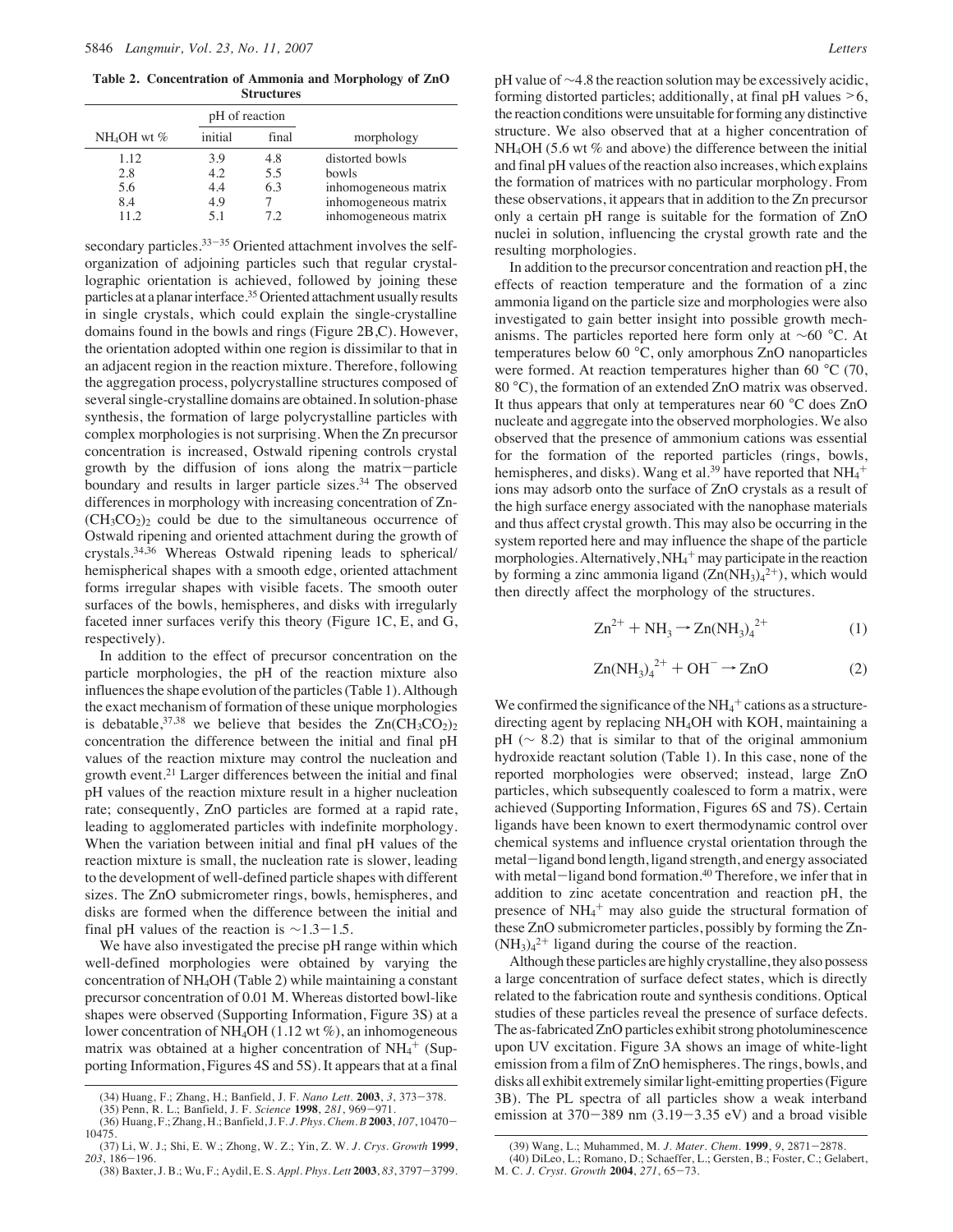**Table 2. Concentration of Ammonia and Morphology of ZnO Structures**

|                                  | pH of reaction                   |                         |                                                                                                  |
|----------------------------------|----------------------------------|-------------------------|--------------------------------------------------------------------------------------------------|
| $NH_4OH$ wt %                    | initial                          | final                   | morphology                                                                                       |
| 1.12<br>2.8<br>5.6<br>8.4<br>112 | 3.9<br>4.2.<br>4.4<br>4.9<br>5.1 | 4.8<br>5.5<br>6.3<br>72 | distorted bowls<br>bowls<br>inhomogeneous matrix<br>inhomogeneous matrix<br>inhomogeneous matrix |

secondary particles. $33-35$  Oriented attachment involves the selforganization of adjoining particles such that regular crystallographic orientation is achieved, followed by joining these particles at a planar interface.<sup>35</sup> Oriented attachment usually results in single crystals, which could explain the single-crystalline domains found in the bowls and rings (Figure 2B,C). However, the orientation adopted within one region is dissimilar to that in an adjacent region in the reaction mixture. Therefore, following the aggregation process, polycrystalline structures composed of several single-crystalline domains are obtained. In solution-phase synthesis, the formation of large polycrystalline particles with complex morphologies is not surprising. When the Zn precursor concentration is increased, Ostwald ripening controls crystal growth by the diffusion of ions along the matrix-particle boundary and results in larger particle sizes.<sup>34</sup> The observed differences in morphology with increasing concentration of Zn-  $(CH<sub>3</sub>CO<sub>2</sub>)<sub>2</sub>$  could be due to the simultaneous occurrence of Ostwald ripening and oriented attachment during the growth of crystals.34,36 Whereas Ostwald ripening leads to spherical/ hemispherical shapes with a smooth edge, oriented attachment forms irregular shapes with visible facets. The smooth outer surfaces of the bowls, hemispheres, and disks with irregularly faceted inner surfaces verify this theory (Figure 1C, E, and G, respectively).

In addition to the effect of precursor concentration on the particle morphologies, the pH of the reaction mixture also influences the shape evolution of the particles (Table 1). Although the exact mechanism of formation of these unique morphologies is debatable,  $37,38$  we believe that besides the  $Zn(CH_3CO_2)_2$ concentration the difference between the initial and final pH values of the reaction mixture may control the nucleation and growth event.21 Larger differences between the initial and final pH values of the reaction mixture result in a higher nucleation rate; consequently, ZnO particles are formed at a rapid rate, leading to agglomerated particles with indefinite morphology. When the variation between initial and final pH values of the reaction mixture is small, the nucleation rate is slower, leading to the development of well-defined particle shapes with different sizes. The ZnO submicrometer rings, bowls, hemispheres, and disks are formed when the difference between the initial and final pH values of the reaction is  $\sim$ 1.3-1.5.

We have also investigated the precise pH range within which well-defined morphologies were obtained by varying the concentration of NH4OH (Table 2) while maintaining a constant precursor concentration of 0.01 M. Whereas distorted bowl-like shapes were observed (Supporting Information, Figure 3S) at a lower concentration of NH4OH (1.12 wt %), an inhomogeneous matrix was obtained at a higher concentration of  $NH_4^+$  (Supporting Information, Figures 4S and 5S). It appears that at a final

pH value of ∼4.8 the reaction solution may be excessively acidic, forming distorted particles; additionally, at final pH values >6, the reaction conditions were unsuitable for forming any distinctive structure. We also observed that at a higher concentration of NH<sub>4</sub>OH (5.6 wt % and above) the difference between the initial and final pH values of the reaction also increases, which explains the formation of matrices with no particular morphology. From these observations, it appears that in addition to the Zn precursor only a certain pH range is suitable for the formation of ZnO nuclei in solution, influencing the crystal growth rate and the resulting morphologies.

In addition to the precursor concentration and reaction pH, the effects of reaction temperature and the formation of a zinc ammonia ligand on the particle size and morphologies were also investigated to gain better insight into possible growth mechanisms. The particles reported here form only at ∼60 °C. At temperatures below 60 °C, only amorphous ZnO nanoparticles were formed. At reaction temperatures higher than 60 °C (70, 80 °C), the formation of an extended ZnO matrix was observed. It thus appears that only at temperatures near 60 °C does ZnO nucleate and aggregate into the observed morphologies. We also observed that the presence of ammonium cations was essential for the formation of the reported particles (rings, bowls, hemispheres, and disks). Wang et al.<sup>39</sup> have reported that  $NH_4^+$ ions may adsorb onto the surface of ZnO crystals as a result of the high surface energy associated with the nanophase materials and thus affect crystal growth. This may also be occurring in the system reported here and may influence the shape of the particle morphologies. Alternatively,  $NH_4^+$  may participate in the reaction by forming a zinc ammonia ligand  $(Zn(NH_3)4^{2+})$ , which would then directly affect the morphology of the structures.

$$
Zn^{2+} + NH_3 \to Zn(NH_3)_4^{2+}
$$
 (1)

$$
Zn(NH_3)_4^{2+} + OH^- \rightarrow ZnO \tag{2}
$$

We confirmed the significance of the  $NH_4^+$  cations as a structuredirecting agent by replacing NH4OH with KOH, maintaining a pH ( $\sim$  8.2) that is similar to that of the original ammonium hydroxide reactant solution (Table 1). In this case, none of the reported morphologies were observed; instead, large ZnO particles, which subsequently coalesced to form a matrix, were achieved (Supporting Information, Figures 6S and 7S). Certain ligands have been known to exert thermodynamic control over chemical systems and influence crystal orientation through the metal-ligand bond length, ligand strength, and energy associated with metal-ligand bond formation.<sup>40</sup> Therefore, we infer that in addition to zinc acetate concentration and reaction pH, the presence of NH<sub>4</sub><sup>+</sup> may also guide the structural formation of these ZnO submicrometer particles, possibly by forming the Zn-  $(NH<sub>3</sub>)<sub>4</sub><sup>2+</sup>$  ligand during the course of the reaction.

Although these particles are highly crystalline, they also possess a large concentration of surface defect states, which is directly related to the fabrication route and synthesis conditions. Optical studies of these particles reveal the presence of surface defects. The as-fabricated ZnO particles exhibit strong photoluminescence upon UV excitation. Figure 3A shows an image of white-light emission from a film of ZnO hemispheres. The rings, bowls, and disks all exhibit extremely similar light-emitting properties (Figure 3B). The PL spectra of all particles show a weak interband emission at  $370-389$  nm  $(3.19-3.35 \text{ eV})$  and a broad visible

<sup>(34)</sup> Huang, F.; Zhang, H.; Banfield, J. F. *Nano Lett.* **2003**, *3*, 373-378.

<sup>(35)</sup> Penn, R. L.; Banfield, J. F. *Science* **1998**, *281*, 969-971. (36) Huang, F.; Zhang, H.; Banfield, J. F. *J. Phys. Chem. B* **2003**, *107*, 10470- 10475.

<sup>(37)</sup> Li, W. J.; Shi, E. W.; Zhong, W. Z.; Yin, Z. W. *J. Crys. Growth* **1999**, *203*, 186-196.

<sup>(38)</sup> Baxter, J. B.; Wu, F.; Aydil, E. S. *Appl. Phys. Lett* **2003**, *83*, 3797-3799.

<sup>(39)</sup> Wang, L.; Muhammed, M. *J. Mater. Chem.* **1999**, *9*, 2871-2878.

<sup>(40)</sup> DiLeo, L.; Romano, D.; Schaeffer, L.; Gersten, B.; Foster, C.; Gelabert, M. C. *J. Cryst. Growth* **2004**, *271*, 65-73.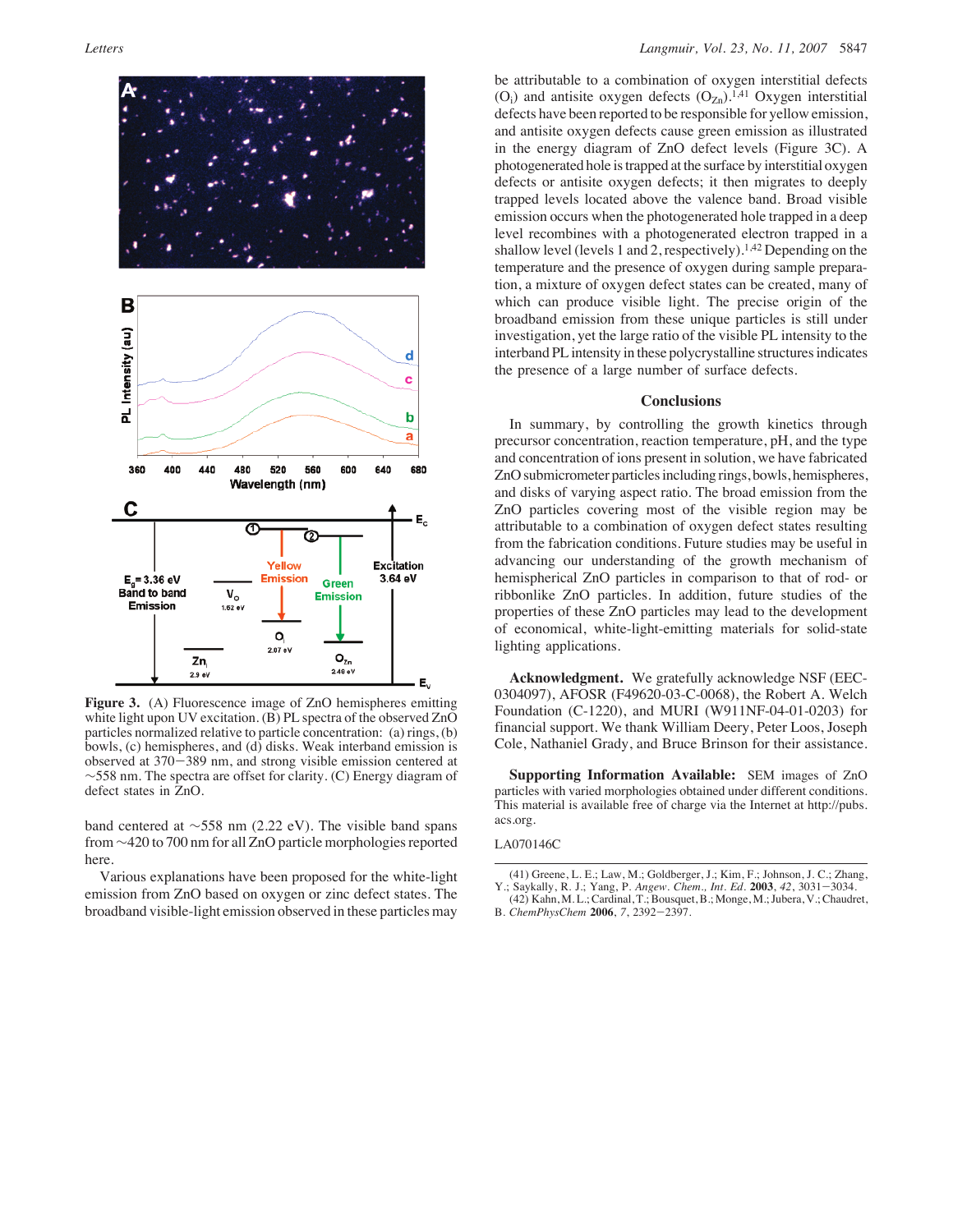

**Figure 3.** (A) Fluorescence image of ZnO hemispheres emitting white light upon UV excitation. (B) PL spectra of the observed ZnO particles normalized relative to particle concentration: (a) rings, (b) bowls,  $(c)$  hemispheres, and  $(d)$  disks. Weak interband emission is observed at 370-389 nm, and strong visible emission centered at ∼558 nm. The spectra are offset for clarity. (C) Energy diagram of defect states in ZnO.

band centered at ∼558 nm (2.22 eV). The visible band spans from ∼420 to 700 nm for all ZnO particle morphologies reported here.

Various explanations have been proposed for the white-light emission from ZnO based on oxygen or zinc defect states. The broadband visible-light emission observed in these particles may be attributable to a combination of oxygen interstitial defects  $(O_i)$  and antisite oxygen defects  $(O_{Zn})$ .<sup>1,41</sup> Oxygen interstitial defects have been reported to be responsible for yellow emission, and antisite oxygen defects cause green emission as illustrated in the energy diagram of ZnO defect levels (Figure 3C). A photogenerated hole is trapped at the surface by interstitial oxygen defects or antisite oxygen defects; it then migrates to deeply trapped levels located above the valence band. Broad visible emission occurs when the photogenerated hole trapped in a deep level recombines with a photogenerated electron trapped in a shallow level (levels 1 and 2, respectively).<sup>1,42</sup> Depending on the temperature and the presence of oxygen during sample preparation, a mixture of oxygen defect states can be created, many of which can produce visible light. The precise origin of the broadband emission from these unique particles is still under investigation, yet the large ratio of the visible PL intensity to the interband PL intensity in these polycrystalline structures indicates the presence of a large number of surface defects.

#### **Conclusions**

In summary, by controlling the growth kinetics through precursor concentration, reaction temperature, pH, and the type and concentration of ions present in solution, we have fabricated ZnO submicrometer particles including rings, bowls, hemispheres, and disks of varying aspect ratio. The broad emission from the ZnO particles covering most of the visible region may be attributable to a combination of oxygen defect states resulting from the fabrication conditions. Future studies may be useful in advancing our understanding of the growth mechanism of hemispherical ZnO particles in comparison to that of rod- or ribbonlike ZnO particles. In addition, future studies of the properties of these ZnO particles may lead to the development of economical, white-light-emitting materials for solid-state lighting applications.

**Acknowledgment.** We gratefully acknowledge NSF (EEC-0304097), AFOSR (F49620-03-C-0068), the Robert A. Welch Foundation (C-1220), and MURI (W911NF-04-01-0203) for financial support. We thank William Deery, Peter Loos, Joseph Cole, Nathaniel Grady, and Bruce Brinson for their assistance.

**Supporting Information Available:** SEM images of ZnO particles with varied morphologies obtained under different conditions. This material is available free of charge via the Internet at http://pubs. acs.org.

#### LA070146C

<sup>(41)</sup> Greene, L. E.; Law, M.; Goldberger, J.; Kim, F.; Johnson, J. C.; Zhang, Y.; Saykally, R. J.; Yang, P. *Angew. Chem., Int. Ed.* **2003**, *42*, 3031-3034.

<sup>(42)</sup> Kahn, M. L.; Cardinal, T.; Bousquet, B.; Monge, M.; Jubera, V.; Chaudret, B. *ChemPhysChem* **2006**, *7*, 2392-2397.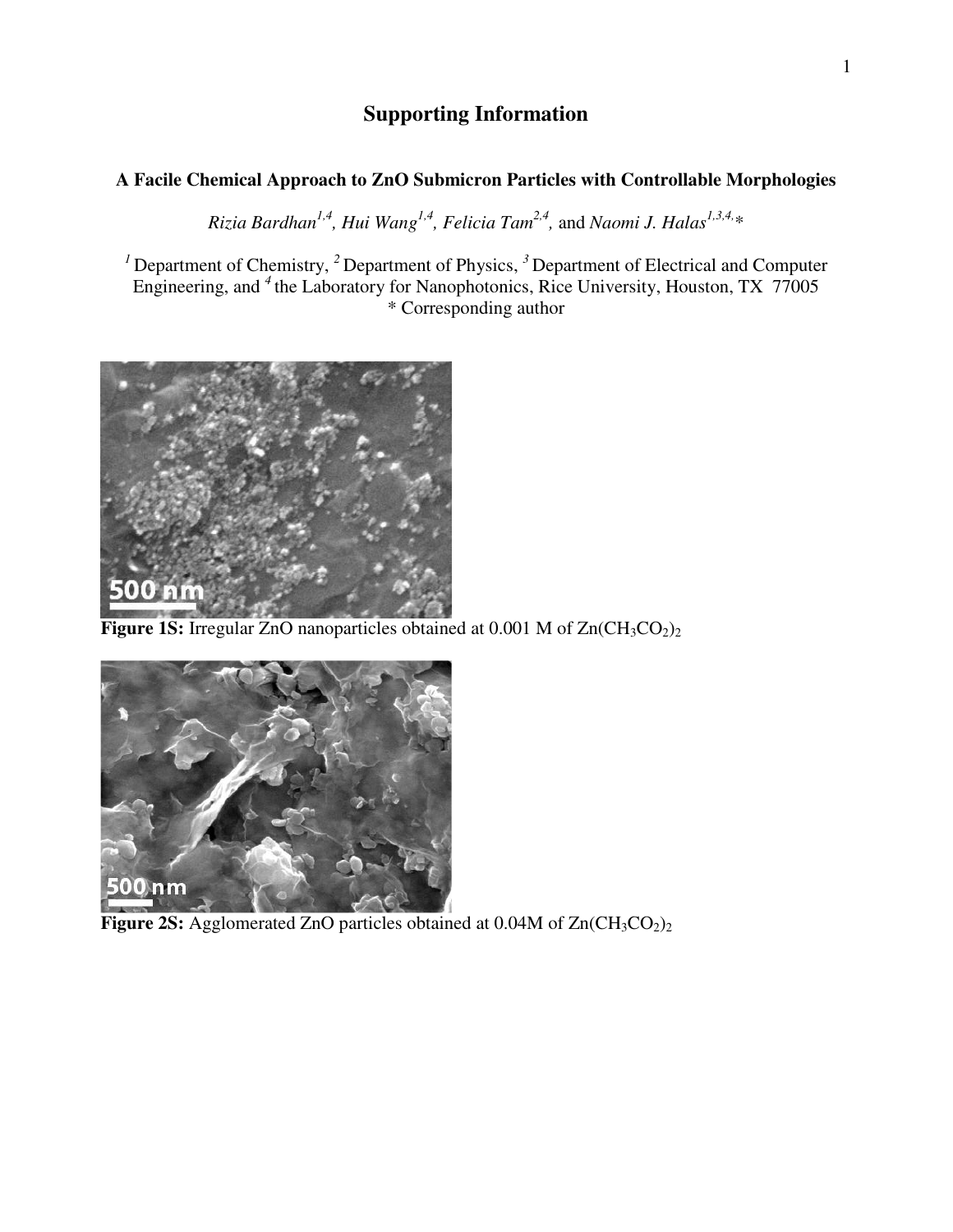# **Supporting Information**

## **A Facile Chemical Approach to ZnO Submicron Particles with Controllable Morphologies**

*Rizia Bardhan1,4, Hui Wang1,4, Felicia Tam2,4,* and *Naomi J. Halas1,3,4,*\*

<sup>1</sup> Department of Chemistry, <sup>2</sup> Department of Physics, <sup>3</sup> Department of Electrical and Computer Engineering, and *<sup>4</sup>*the Laboratory for Nanophotonics, Rice University, Houston, TX 77005 \* Corresponding author



**Figure 1S:** Irregular ZnO nanoparticles obtained at 0.001 M of Zn(CH<sub>3</sub>CO<sub>2</sub>)<sub>2</sub>



**Figure 2S:** Agglomerated ZnO particles obtained at  $0.04M$  of  $Zn(CH_3CO_2)_2$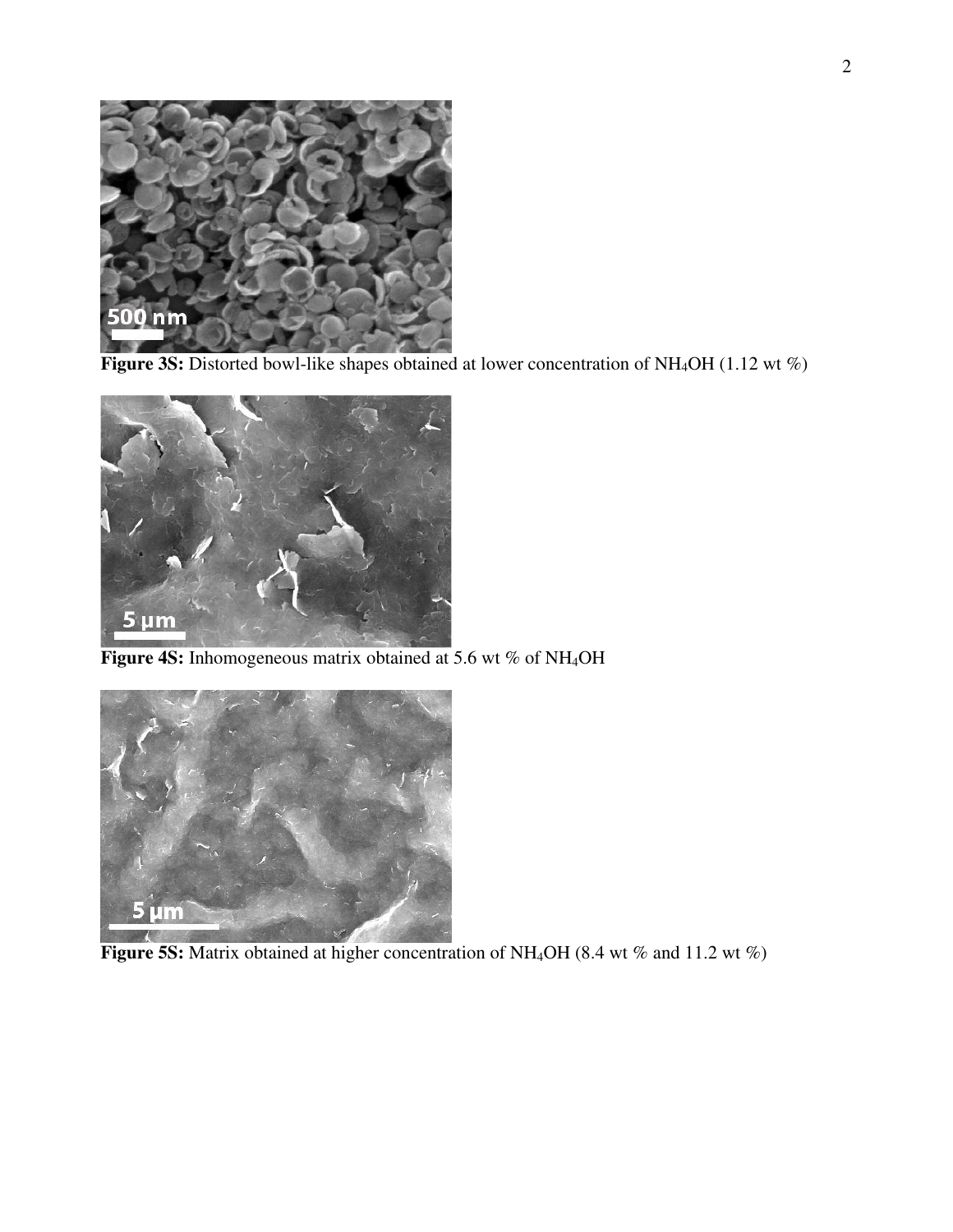

**Figure 3S:** Distorted bowl-like shapes obtained at lower concentration of NH<sub>4</sub>OH (1.12 wt %)



**Figure 4S:** Inhomogeneous matrix obtained at 5.6 wt % of NH<sub>4</sub>OH



**Figure 5S:** Matrix obtained at higher concentration of NH<sub>4</sub>OH (8.4 wt % and 11.2 wt %)